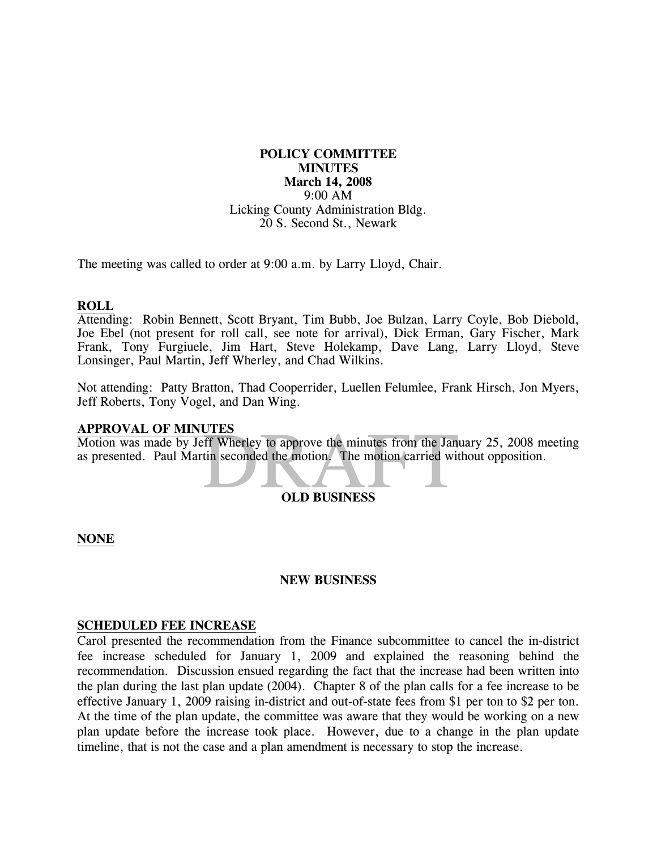# **POLICY COMMITTEE MINUTES March 14, 2008**  9:00 AM Licking County Administration Bldg. 20 S. Second St., Newark

The meeting was called to order at 9:00 a.m. by Larry Lloyd, Chair.

### **ROLL**

Attending: Robin Bennett, Scott Bryant, Tim Bubb, Joe Bulzan, Larry Coyle, Bob Diebold, Joe Ebel (not present for roll call, see note for arrival), Dick Erman, Gary Fischer, Mark Frank, Tony Furgiuele, Jim Hart, Steve Holekamp, Dave Lang, Larry Lloyd, Steve Lonsinger, Paul Martin, Jeff Wherley, and Chad Wilkins.

Not attending: Patty Bratton, Thad Cooperrider, Luellen Felumlee, Frank Hirsch, Jon Myers, Jeff Roberts, Tony Vogel, and Dan Wing.

### **APPROVAL OF MINUTES**

THES<br>
Eff Wherley to approve the minutes from the Janu<br>
tin seconded the motion. The motion carried wit<br>
OLD BUSINESS Motion was made by Jeff Wherley to approve the minutes from the January 25, 2008 meeting as presented. Paul Martin seconded the motion. The motion carried without opposition.

# **OLD BUSINESS**

### **NONE**

### **NEW BUSINESS**

### **SCHEDULED FEE INCREASE**

Carol presented the recommendation from the Finance subcommittee to cancel the in-district fee increase scheduled for January 1, 2009 and explained the reasoning behind the recommendation. Discussion ensued regarding the fact that the increase had been written into the plan during the last plan update (2004). Chapter 8 of the plan calls for a fee increase to be effective January 1, 2009 raising in-district and out-of-state fees from \$1 per ton to \$2 per ton. At the time of the plan update, the committee was aware that they would be working on a new plan update before the increase took place. However, due to a change in the plan update timeline, that is not the case and a plan amendment is necessary to stop the increase.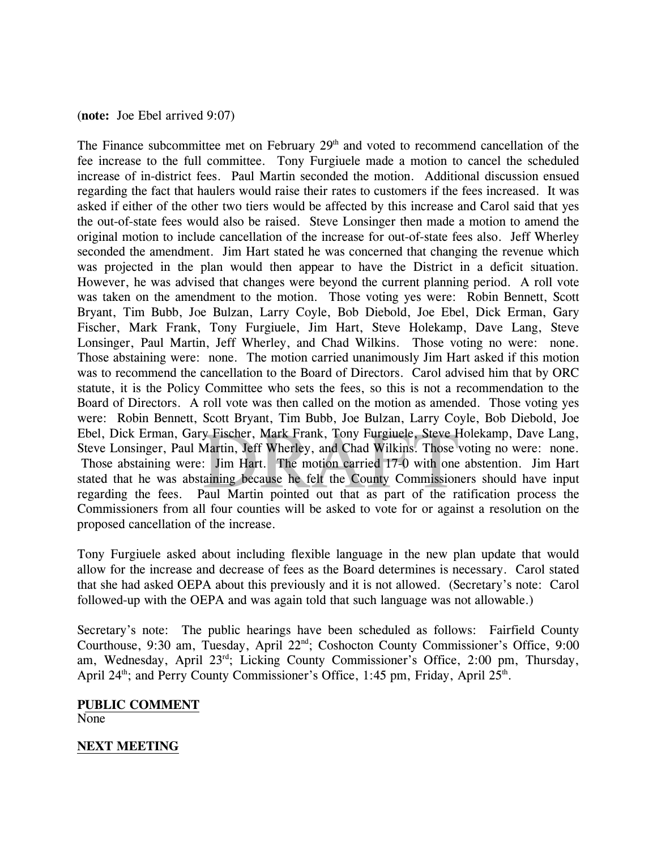### (**note:** Joe Ebel arrived 9:07)

y Fischer, Mark Frank, Tony Furgiuele, Steve Hyartin, Jeff Wherley, and Chad Wilkins. Those Number of Jim Hart. The motion carried 17-0 with one taining because he felt the County Commission Caul Martin pointed out that as The Finance subcommittee met on February  $29<sup>th</sup>$  and voted to recommend cancellation of the fee increase to the full committee. Tony Furgiuele made a motion to cancel the scheduled increase of in-district fees. Paul Martin seconded the motion. Additional discussion ensued regarding the fact that haulers would raise their rates to customers if the fees increased. It was asked if either of the other two tiers would be affected by this increase and Carol said that yes the out-of-state fees would also be raised. Steve Lonsinger then made a motion to amend the original motion to include cancellation of the increase for out-of-state fees also. Jeff Wherley seconded the amendment. Jim Hart stated he was concerned that changing the revenue which was projected in the plan would then appear to have the District in a deficit situation. However, he was advised that changes were beyond the current planning period. A roll vote was taken on the amendment to the motion. Those voting yes were: Robin Bennett, Scott Bryant, Tim Bubb, Joe Bulzan, Larry Coyle, Bob Diebold, Joe Ebel, Dick Erman, Gary Fischer, Mark Frank, Tony Furgiuele, Jim Hart, Steve Holekamp, Dave Lang, Steve Lonsinger, Paul Martin, Jeff Wherley, and Chad Wilkins. Those voting no were: none. Those abstaining were: none. The motion carried unanimously Jim Hart asked if this motion was to recommend the cancellation to the Board of Directors. Carol advised him that by ORC statute, it is the Policy Committee who sets the fees, so this is not a recommendation to the Board of Directors. A roll vote was then called on the motion as amended. Those voting yes were: Robin Bennett, Scott Bryant, Tim Bubb, Joe Bulzan, Larry Coyle, Bob Diebold, Joe Ebel, Dick Erman, Gary Fischer, Mark Frank, Tony Furgiuele, Steve Holekamp, Dave Lang, Steve Lonsinger, Paul Martin, Jeff Wherley, and Chad Wilkins. Those voting no were: none. Those abstaining were: Jim Hart. The motion carried 17-0 with one abstention. Jim Hart stated that he was abstaining because he felt the County Commissioners should have input regarding the fees. Paul Martin pointed out that as part of the ratification process the Commissioners from all four counties will be asked to vote for or against a resolution on the proposed cancellation of the increase.

Tony Furgiuele asked about including flexible language in the new plan update that would allow for the increase and decrease of fees as the Board determines is necessary. Carol stated that she had asked OEPA about this previously and it is not allowed. (Secretary's note: Carol followed-up with the OEPA and was again told that such language was not allowable.)

Secretary's note: The public hearings have been scheduled as follows: Fairfield County Courthouse, 9:30 am, Tuesday, April 22<sup>nd</sup>; Coshocton County Commissioner's Office, 9:00 am, Wednesday, April 23<sup>rd</sup>; Licking County Commissioner's Office, 2:00 pm, Thursday, April 24<sup>th</sup>; and Perry County Commissioner's Office, 1:45 pm, Friday, April  $25<sup>th</sup>$ .

### **PUBLIC COMMENT** None

## **NEXT MEETING**